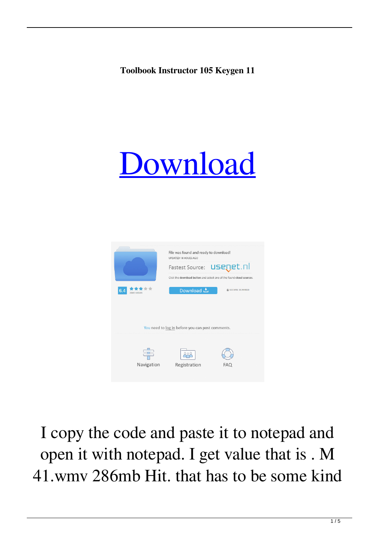## **Toolbook Instructor 105 Keygen 11**





I copy the code and paste it to notepad and open it with notepad. I get value that is . M 41.wmv 286mb Hit. that has to be some kind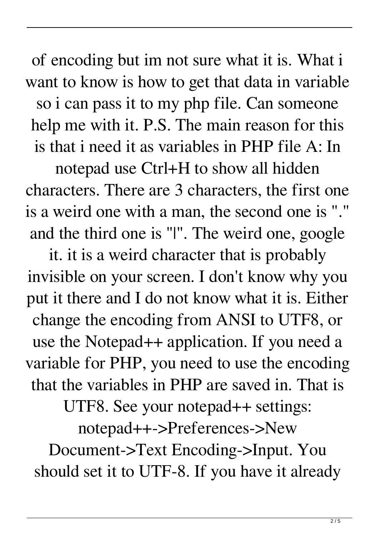of encoding but im not sure what it is. What i want to know is how to get that data in variable so i can pass it to my php file. Can someone help me with it. P.S. The main reason for this is that i need it as variables in PHP file A: In

notepad use Ctrl+H to show all hidden characters. There are 3 characters, the first one is a weird one with a man, the second one is "." and the third one is "|". The weird one, google

it. it is a weird character that is probably invisible on your screen. I don't know why you put it there and I do not know what it is. Either change the encoding from ANSI to UTF8, or use the Notepad++ application. If you need a variable for PHP, you need to use the encoding that the variables in PHP are saved in. That is

UTF8. See your notepad++ settings:

notepad++->Preferences->New

Document->Text Encoding->Input. You should set it to UTF-8. If you have it already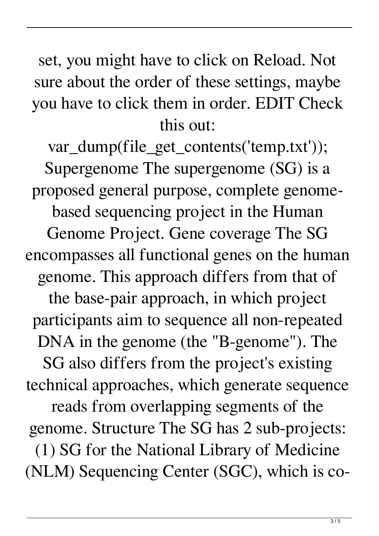set, you might have to click on Reload. Not sure about the order of these settings, maybe you have to click them in order. EDIT Check this out:

var\_dump(file\_get\_contents('temp.txt')); Supergenome The supergenome (SG) is a proposed general purpose, complete genomebased sequencing project in the Human Genome Project. Gene coverage The SG encompasses all functional genes on the human genome. This approach differs from that of the base-pair approach, in which project participants aim to sequence all non-repeated DNA in the genome (the "B-genome"). The SG also differs from the project's existing technical approaches, which generate sequence reads from overlapping segments of the genome. Structure The SG has 2 sub-projects: (1) SG for the National Library of Medicine (NLM) Sequencing Center (SGC), which is co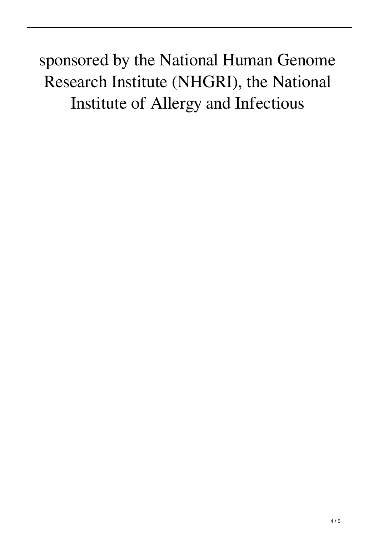sponsored by the National Human Genome Research Institute (NHGRI), the National Institute of Allergy and Infectious